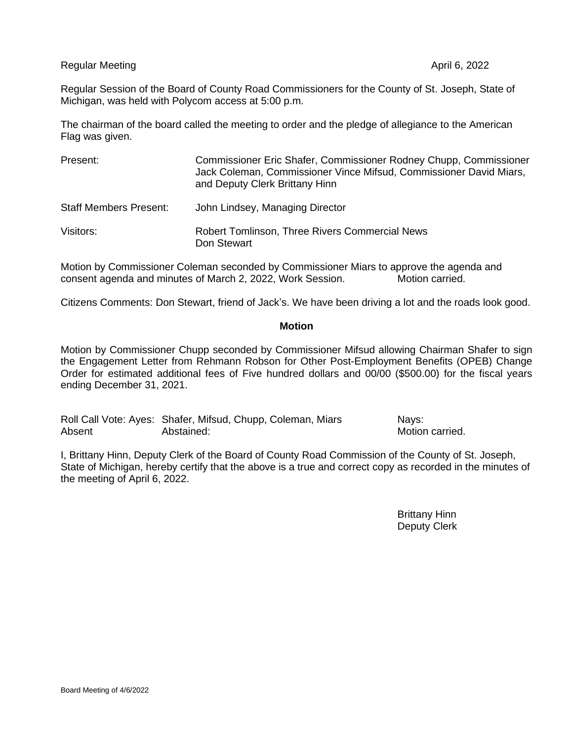Regular Meeting April 6, 2022 and the United States of April 6, 2022 and the April 6, 2022

Regular Session of the Board of County Road Commissioners for the County of St. Joseph, State of Michigan, was held with Polycom access at 5:00 p.m.

The chairman of the board called the meeting to order and the pledge of allegiance to the American Flag was given.

| Present:                      | Commissioner Eric Shafer, Commissioner Rodney Chupp, Commissioner<br>Jack Coleman, Commissioner Vince Mifsud, Commissioner David Miars,<br>and Deputy Clerk Brittany Hinn |
|-------------------------------|---------------------------------------------------------------------------------------------------------------------------------------------------------------------------|
| <b>Staff Members Present:</b> | John Lindsey, Managing Director                                                                                                                                           |
| Visitors:                     | <b>Robert Tomlinson, Three Rivers Commercial News</b><br>Don Stewart                                                                                                      |

Motion by Commissioner Coleman seconded by Commissioner Miars to approve the agenda and consent agenda and minutes of March 2, 2022. Work Session. consent agenda and minutes of March 2, 2022, Work Session.

Citizens Comments: Don Stewart, friend of Jack's. We have been driving a lot and the roads look good.

## **Motion**

Motion by Commissioner Chupp seconded by Commissioner Mifsud allowing Chairman Shafer to sign the Engagement Letter from Rehmann Robson for Other Post-Employment Benefits (OPEB) Change Order for estimated additional fees of Five hundred dollars and 00/00 (\$500.00) for the fiscal years ending December 31, 2021.

Roll Call Vote: Ayes: Shafer, Mifsud, Chupp, Coleman, Miars Nays: Absent **Abstained:** Abstained: Abstained: Abstained: Abstained: Abstained: Abstantial

I, Brittany Hinn, Deputy Clerk of the Board of County Road Commission of the County of St. Joseph, State of Michigan, hereby certify that the above is a true and correct copy as recorded in the minutes of the meeting of April 6, 2022.

> Brittany Hinn Deputy Clerk